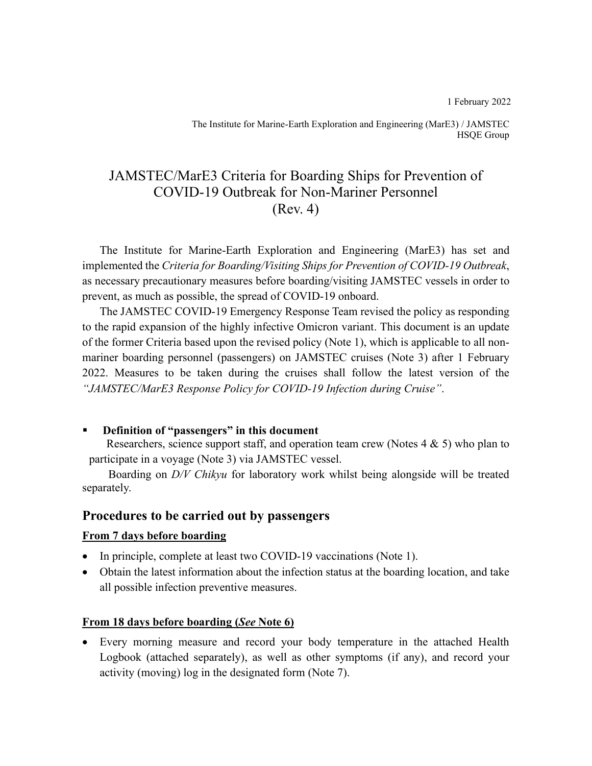1 February 2022

The Institute for Marine-Earth Exploration and Engineering (MarE3) / JAMSTEC HSQE Group

# JAMSTEC/MarE3 Criteria for Boarding Ships for Prevention of COVID-19 Outbreak for Non-Mariner Personnel (Rev. 4)

The Institute for Marine-Earth Exploration and Engineering (MarE3) has set and implemented the *Criteria for Boarding/Visiting Ships for Prevention of COVID-19 Outbreak*, as necessary precautionary measures before boarding/visiting JAMSTEC vessels in order to prevent, as much as possible, the spread of COVID-19 onboard.

The JAMSTEC COVID-19 Emergency Response Team revised the policy as responding to the rapid expansion of the highly infective Omicron variant. This document is an update of the former Criteria based upon the revised policy (Note 1), which is applicable to all nonmariner boarding personnel (passengers) on JAMSTEC cruises (Note 3) after 1 February 2022. Measures to be taken during the cruises shall follow the latest version of the *"JAMSTEC/MarE3 Response Policy for COVID-19 Infection during Cruise"*.

#### Definition of "passengers" in this document

Researchers, science support staff, and operation team crew (Notes 4 & 5) who plan to participate in a voyage (Note 3) via JAMSTEC vessel.

 Boarding on *D/V Chikyu* for laboratory work whilst being alongside will be treated separately.

## **Procedures to be carried out by passengers**

#### **From 7 days before boarding**

- In principle, complete at least two COVID-19 vaccinations (Note 1).
- Obtain the latest information about the infection status at the boarding location, and take all possible infection preventive measures.

### **From 18 days before boarding (***See* **Note 6)**

• Every morning measure and record your body temperature in the attached Health Logbook (attached separately), as well as other symptoms (if any), and record your activity (moving) log in the designated form (Note 7).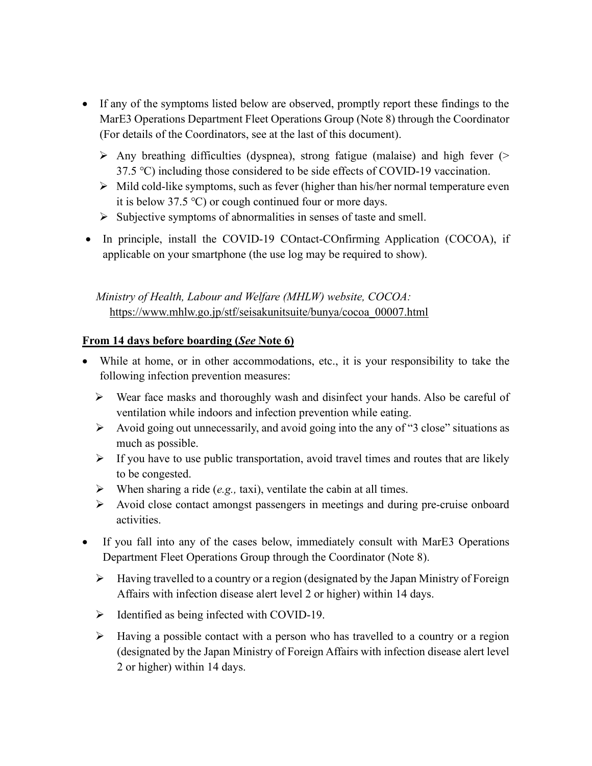- If any of the symptoms listed below are observed, promptly report these findings to the MarE3 Operations Department Fleet Operations Group (Note 8) through the Coordinator (For details of the Coordinators, see at the last of this document).
	- $\triangleright$  Any breathing difficulties (dyspnea), strong fatigue (malaise) and high fever ( $\triangleright$ 37.5 ℃) including those considered to be side effects of COVID-19 vaccination.
	- ➢ Mild cold-like symptoms, such as fever (higher than his/her normal temperature even it is below 37.5 ℃) or cough continued four or more days.
	- ➢ Subjective symptoms of abnormalities in senses of taste and smell.
- In principle, install the COVID-19 COntact-COnfirming Application (COCOA), if applicable on your smartphone (the use log may be required to show).

## *Ministry of Health, Labour and Welfare (MHLW) website, COCOA:* https://www.mhlw.go.jp/stf/seisakunitsuite/bunya/cocoa\_00007.html

## **From 14 days before boarding (***See* **Note 6)**

- While at home, or in other accommodations, etc., it is your responsibility to take the following infection prevention measures:
	- ➢ Wear face masks and thoroughly wash and disinfect your hands. Also be careful of ventilation while indoors and infection prevention while eating.
	- ➢ Avoid going out unnecessarily, and avoid going into the any of "3 close" situations as much as possible.
	- $\triangleright$  If you have to use public transportation, avoid travel times and routes that are likely to be congested.
	- ➢ When sharing a ride (*e.g.,* taxi), ventilate the cabin at all times.
	- ➢ Avoid close contact amongst passengers in meetings and during pre-cruise onboard activities.
- If you fall into any of the cases below, immediately consult with MarE3 Operations Department Fleet Operations Group through the Coordinator (Note 8).
	- ➢ Having travelled to a country or a region (designated by the Japan Ministry of Foreign Affairs with infection disease alert level 2 or higher) within 14 days.
	- ➢ Identified as being infected with COVID-19.
	- ➢ Having a possible contact with a person who has travelled to a country or a region (designated by the Japan Ministry of Foreign Affairs with infection disease alert level 2 or higher) within 14 days.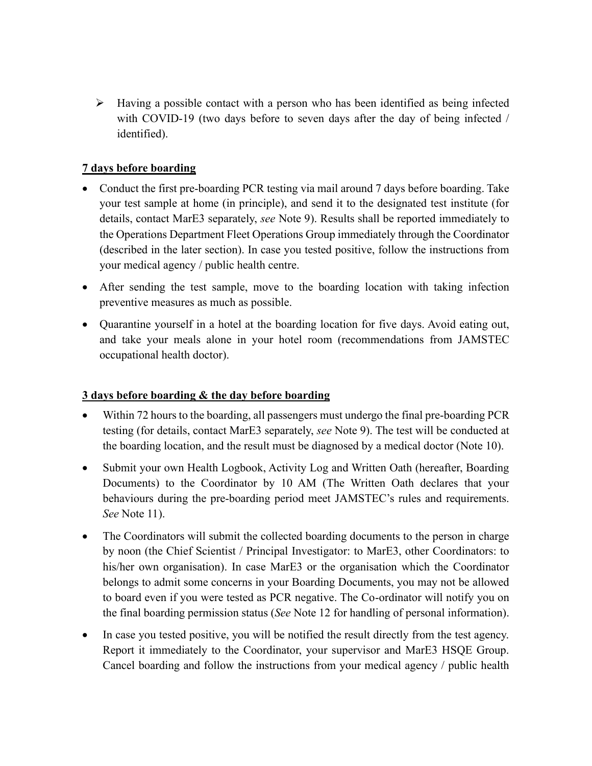$\triangleright$  Having a possible contact with a person who has been identified as being infected with COVID-19 (two days before to seven days after the day of being infected / identified).

## **7 days before boarding**

- Conduct the first pre-boarding PCR testing via mail around 7 days before boarding. Take your test sample at home (in principle), and send it to the designated test institute (for details, contact MarE3 separately, *see* Note 9). Results shall be reported immediately to the Operations Department Fleet Operations Group immediately through the Coordinator (described in the later section). In case you tested positive, follow the instructions from your medical agency / public health centre.
- After sending the test sample, move to the boarding location with taking infection preventive measures as much as possible.
- Quarantine yourself in a hotel at the boarding location for five days. Avoid eating out, and take your meals alone in your hotel room (recommendations from JAMSTEC occupational health doctor).

### **3 days before boarding & the day before boarding**

- Within 72 hours to the boarding, all passengers must undergo the final pre-boarding PCR testing (for details, contact MarE3 separately, *see* Note 9). The test will be conducted at the boarding location, and the result must be diagnosed by a medical doctor (Note 10).
- Submit your own Health Logbook, Activity Log and Written Oath (hereafter, Boarding Documents) to the Coordinator by 10 AM (The Written Oath declares that your behaviours during the pre-boarding period meet JAMSTEC's rules and requirements. *See* Note 11).
- The Coordinators will submit the collected boarding documents to the person in charge by noon (the Chief Scientist / Principal Investigator: to MarE3, other Coordinators: to his/her own organisation). In case MarE3 or the organisation which the Coordinator belongs to admit some concerns in your Boarding Documents, you may not be allowed to board even if you were tested as PCR negative. The Co-ordinator will notify you on the final boarding permission status (*See* Note 12 for handling of personal information).
- In case you tested positive, you will be notified the result directly from the test agency. Report it immediately to the Coordinator, your supervisor and MarE3 HSQE Group. Cancel boarding and follow the instructions from your medical agency / public health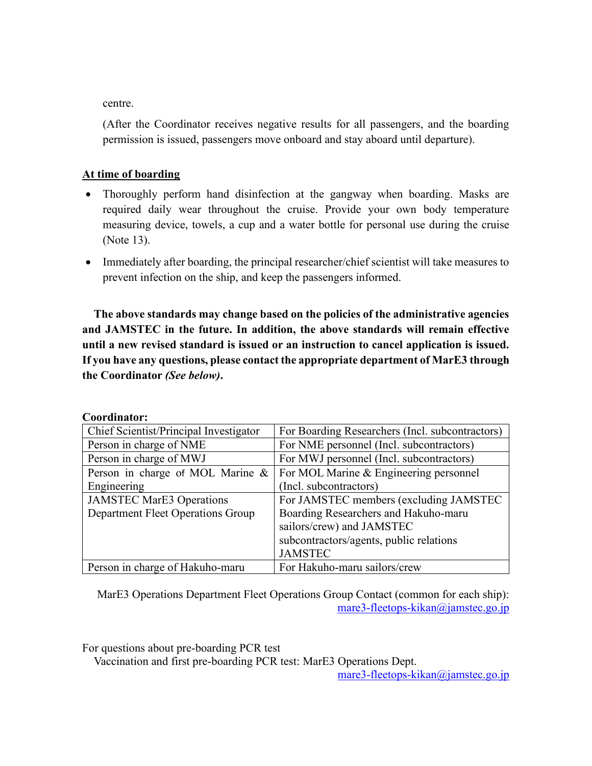centre.

(After the Coordinator receives negative results for all passengers, and the boarding permission is issued, passengers move onboard and stay aboard until departure).

#### **At time of boarding**

- Thoroughly perform hand disinfection at the gangway when boarding. Masks are required daily wear throughout the cruise. Provide your own body temperature measuring device, towels, a cup and a water bottle for personal use during the cruise (Note 13).
- Immediately after boarding, the principal researcher/chief scientist will take measures to prevent infection on the ship, and keep the passengers informed.

**The above standards may change based on the policies of the administrative agencies and JAMSTEC in the future. In addition, the above standards will remain effective until a new revised standard is issued or an instruction to cancel application is issued. If you have any questions, please contact the appropriate department of MarE3 through the Coordinator** *(See below)***.**

| Chief Scientist/Principal Investigator | For Boarding Researchers (Incl. subcontractors) |
|----------------------------------------|-------------------------------------------------|
| Person in charge of NME                | For NME personnel (Incl. subcontractors)        |
| Person in charge of MWJ                | For MWJ personnel (Incl. subcontractors)        |
| Person in charge of MOL Marine &       | For MOL Marine & Engineering personnel          |
| Engineering                            | (Incl. subcontractors)                          |
| <b>JAMSTEC MarE3 Operations</b>        | For JAMSTEC members (excluding JAMSTEC          |
| Department Fleet Operations Group      | Boarding Researchers and Hakuho-maru            |
|                                        | sailors/crew) and JAMSTEC                       |
|                                        | subcontractors/agents, public relations         |
|                                        | <b>JAMSTEC</b>                                  |
| Person in charge of Hakuho-maru        | For Hakuho-maru sailors/crew                    |

#### **Coordinator:**

MarE3 Operations Department Fleet Operations Group Contact (common for each ship): mare3-fleetops-kikan@jamstec.go.jp

For questions about pre-boarding PCR test

Vaccination and first pre-boarding PCR test: MarE3 Operations Dept.

mare3-fleetops-kikan@jamstec.go.jp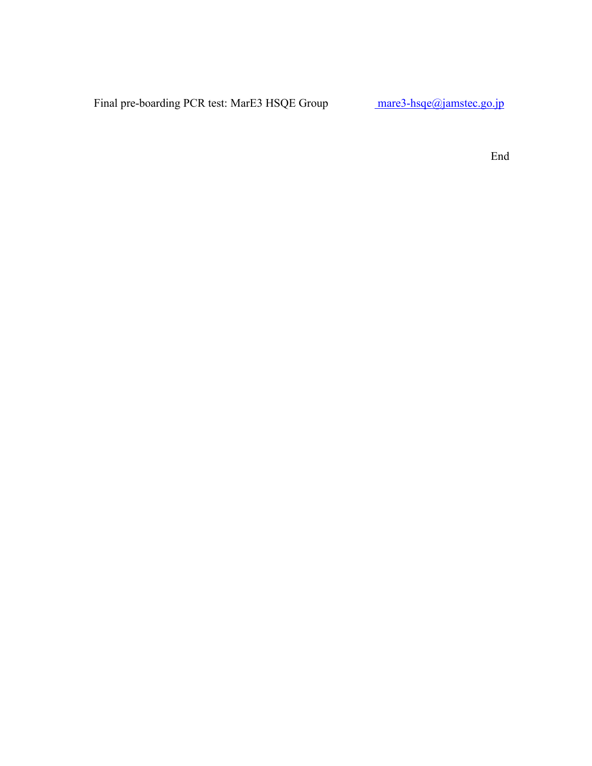Final pre-boarding PCR test: MarE3 HSQE Group mare3-hsqe@jamstec.go.jp

End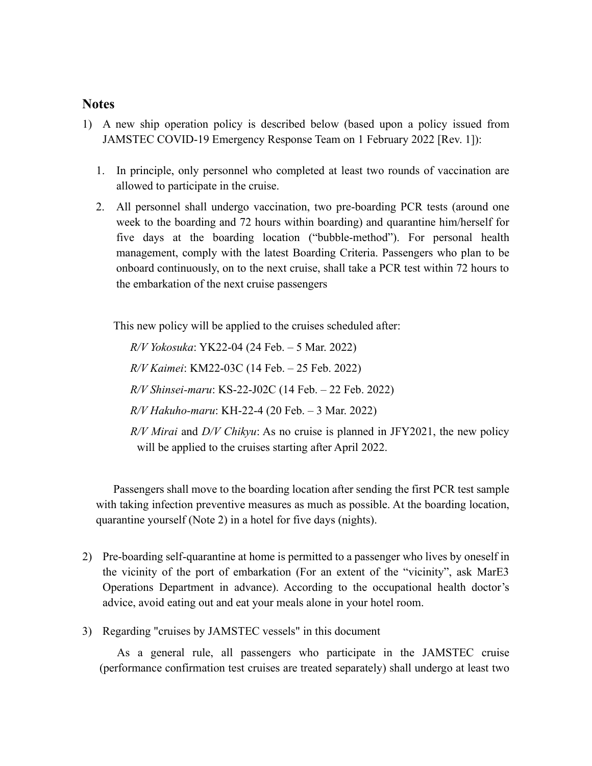#### **Notes**

- 1) A new ship operation policy is described below (based upon a policy issued from JAMSTEC COVID-19 Emergency Response Team on 1 February 2022 [Rev. 1]):
	- 1. In principle, only personnel who completed at least two rounds of vaccination are allowed to participate in the cruise.
	- 2. All personnel shall undergo vaccination, two pre-boarding PCR tests (around one week to the boarding and 72 hours within boarding) and quarantine him/herself for five days at the boarding location ("bubble-method"). For personal health management, comply with the latest Boarding Criteria. Passengers who plan to be onboard continuously, on to the next cruise, shall take a PCR test within 72 hours to the embarkation of the next cruise passengers

This new policy will be applied to the cruises scheduled after:

*R/V Yokosuka*: YK22-04 (24 Feb. – 5 Mar. 2022) *R/V Kaimei*: KM22-03C (14 Feb. – 25 Feb. 2022) *R/V Shinsei-maru*: KS-22-J02C (14 Feb. – 22 Feb. 2022) *R/V Hakuho-maru*: KH-22-4 (20 Feb. – 3 Mar. 2022) *R/V Mirai* and *D/V Chikyu*: As no cruise is planned in JFY2021, the new policy will be applied to the cruises starting after April 2022.

Passengers shall move to the boarding location after sending the first PCR test sample with taking infection preventive measures as much as possible. At the boarding location, quarantine yourself (Note 2) in a hotel for five days (nights).

- 2) Pre-boarding self-quarantine at home is permitted to a passenger who lives by oneself in the vicinity of the port of embarkation (For an extent of the "vicinity", ask MarE3 Operations Department in advance). According to the occupational health doctor's advice, avoid eating out and eat your meals alone in your hotel room.
- 3) Regarding "cruises by JAMSTEC vessels" in this document

As a general rule, all passengers who participate in the JAMSTEC cruise (performance confirmation test cruises are treated separately) shall undergo at least two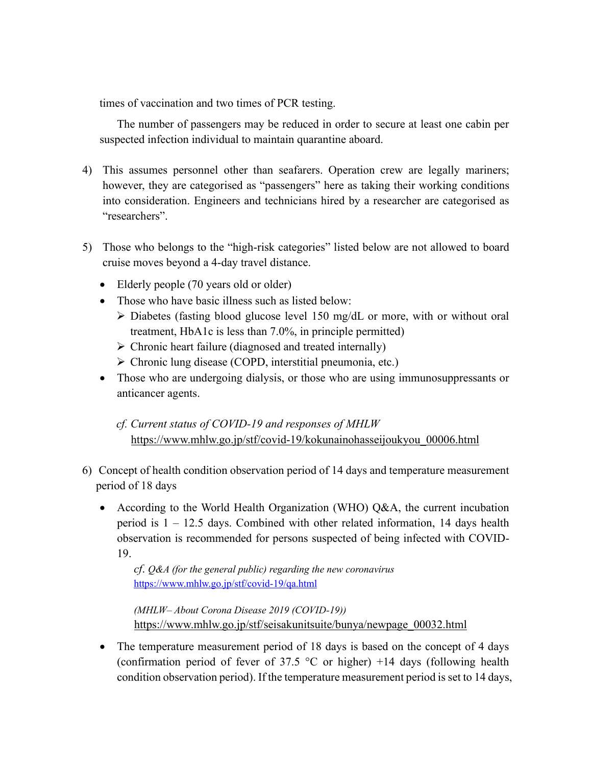times of vaccination and two times of PCR testing.

The number of passengers may be reduced in order to secure at least one cabin per suspected infection individual to maintain quarantine aboard.

- 4) This assumes personnel other than seafarers. Operation crew are legally mariners; however, they are categorised as "passengers" here as taking their working conditions into consideration. Engineers and technicians hired by a researcher are categorised as "researchers".
- 5) Those who belongs to the "high-risk categories" listed below are not allowed to board cruise moves beyond a 4-day travel distance.
	- Elderly people (70 years old or older)
	- Those who have basic illness such as listed below:
		- $\triangleright$  Diabetes (fasting blood glucose level 150 mg/dL or more, with or without oral treatment, HbA1c is less than 7.0%, in principle permitted)
		- ➢ Chronic heart failure (diagnosed and treated internally)
		- ➢ Chronic lung disease (COPD, interstitial pneumonia, etc.)
	- Those who are undergoing dialysis, or those who are using immunosuppressants or anticancer agents.

*cf. Current status of COVID-19 and responses of MHLW* https://www.mhlw.go.jp/stf/covid-19/kokunainohasseijoukyou\_00006.html

- 6) Concept of health condition observation period of 14 days and temperature measurement period of 18 days
	- According to the World Health Organization (WHO) Q&A, the current incubation period is  $1 - 12.5$  days. Combined with other related information, 14 days health observation is recommended for persons suspected of being infected with COVID-19.

*cf*. *Q&A (for the general public) regarding the new coronavirus* https://www.mhlw.go.jp/stf/covid-19/qa.html

*(MHLW– About Corona Disease 2019 (COVID-19))* https://www.mhlw.go.jp/stf/seisakunitsuite/bunya/newpage\_00032.html

• The temperature measurement period of 18 days is based on the concept of 4 days (confirmation period of fever of 37.5  $\degree$ C or higher) +14 days (following health condition observation period). If the temperature measurement period is set to 14 days,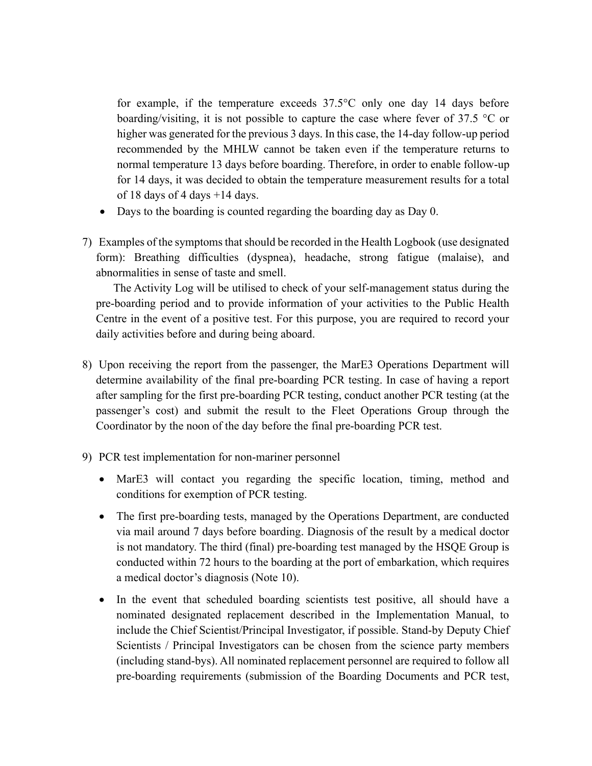for example, if the temperature exceeds 37.5°C only one day 14 days before boarding/visiting, it is not possible to capture the case where fever of 37.5 °C or higher was generated for the previous 3 days. In this case, the 14-day follow-up period recommended by the MHLW cannot be taken even if the temperature returns to normal temperature 13 days before boarding. Therefore, in order to enable follow-up for 14 days, it was decided to obtain the temperature measurement results for a total of 18 days of 4 days  $+14$  days.

- Days to the boarding is counted regarding the boarding day as Day 0.
- 7) Examples of the symptoms that should be recorded in the Health Logbook (use designated form): Breathing difficulties (dyspnea), headache, strong fatigue (malaise), and abnormalities in sense of taste and smell.

The Activity Log will be utilised to check of your self-management status during the pre-boarding period and to provide information of your activities to the Public Health Centre in the event of a positive test. For this purpose, you are required to record your daily activities before and during being aboard.

- 8) Upon receiving the report from the passenger, the MarE3 Operations Department will determine availability of the final pre-boarding PCR testing. In case of having a report after sampling for the first pre-boarding PCR testing, conduct another PCR testing (at the passenger's cost) and submit the result to the Fleet Operations Group through the Coordinator by the noon of the day before the final pre-boarding PCR test.
- 9) PCR test implementation for non-mariner personnel
	- MarE3 will contact you regarding the specific location, timing, method and conditions for exemption of PCR testing.
	- The first pre-boarding tests, managed by the Operations Department, are conducted via mail around 7 days before boarding. Diagnosis of the result by a medical doctor is not mandatory. The third (final) pre-boarding test managed by the HSQE Group is conducted within 72 hours to the boarding at the port of embarkation, which requires a medical doctor's diagnosis (Note 10).
	- In the event that scheduled boarding scientists test positive, all should have a nominated designated replacement described in the Implementation Manual, to include the Chief Scientist/Principal Investigator, if possible. Stand-by Deputy Chief Scientists / Principal Investigators can be chosen from the science party members (including stand-bys). All nominated replacement personnel are required to follow all pre-boarding requirements (submission of the Boarding Documents and PCR test,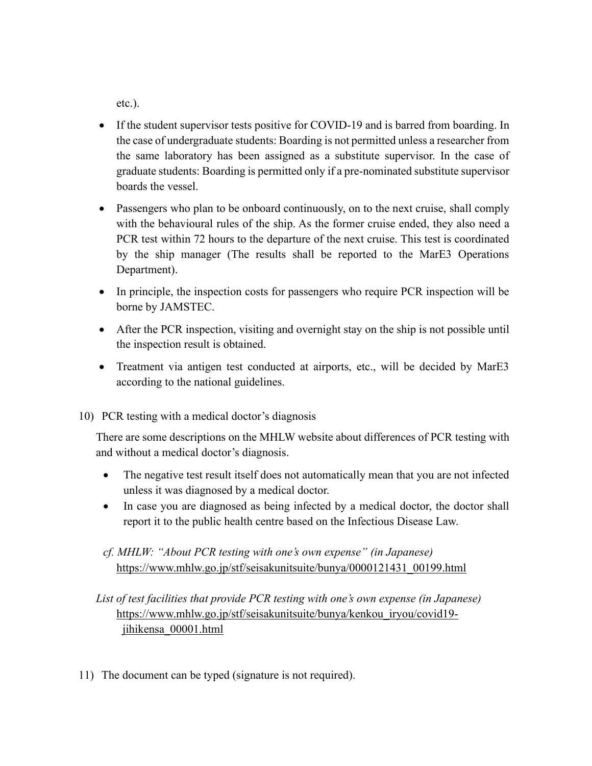etc.).

- If the student supervisor tests positive for COVID-19 and is barred from boarding. In the case of undergraduate students: Boarding is not permitted unless a researcher from the same laboratory has been assigned as a substitute supervisor. In the case of graduate students: Boarding is permitted only if a pre-nominated substitute supervisor boards the vessel.
- Passengers who plan to be onboard continuously, on to the next cruise, shall comply with the behavioural rules of the ship. As the former cruise ended, they also need a PCR test within 72 hours to the departure of the next cruise. This test is coordinated by the ship manager (The results shall be reported to the MarE3 Operations Department).
- In principle, the inspection costs for passengers who require PCR inspection will be borne by JAMSTEC.
- After the PCR inspection, visiting and overnight stay on the ship is not possible until the inspection result is obtained.
- Treatment via antigen test conducted at airports, etc., will be decided by MarE3 according to the national guidelines.
- 10) PCR testing with a medical doctor's diagnosis

There are some descriptions on the MHLW website about differences of PCR testing with and without a medical doctor's diagnosis.

- The negative test result itself does not automatically mean that you are not infected unless it was diagnosed by a medical doctor.
- In case you are diagnosed as being infected by a medical doctor, the doctor shall report it to the public health centre based on the Infectious Disease Law.
- *cf. MHLW: "About PCR testing with one's own expense" (in Japanese)* https://www.mhlw.go.jp/stf/seisakunitsuite/bunya/0000121431\_00199.html
- *List of test facilities that provide PCR testing with one's own expense (in Japanese)* https://www.mhlw.go.jp/stf/seisakunitsuite/bunya/kenkou\_iryou/covid19 jihikensa\_00001.html
- 11) The document can be typed (signature is not required).